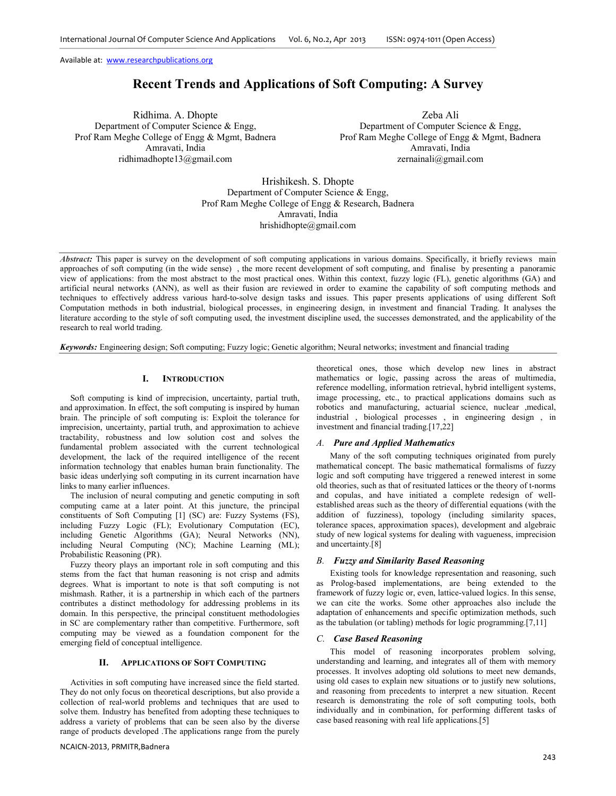# **Recent Trends and Applications of Soft Computing: A Survey**

Ridhima. A. Dhopte Department of Computer Science & Engg, Prof Ram Meghe College of Engg & Mgmt, Badnera Amravati, India ridhimadhopte13@gmail.com

Zeba Ali Department of Computer Science & Engg, Prof Ram Meghe College of Engg & Mgmt, Badnera Amravati, India zernainali@gmail.com

Hrishikesh. S. Dhopte Department of Computer Science & Engg, Prof Ram Meghe College of Engg & Research, Badnera Amravati, India hrishidhopte@gmail.com

*Abstract:* This paper is survey on the development of soft computing applications in various domains. Specifically, it briefly reviews main approaches of soft computing (in the wide sense) , the more recent development of soft computing, and finalise by presenting a panoramic view of applications: from the most abstract to the most practical ones. Within this context, fuzzy logic (FL), genetic algorithms (GA) and artificial neural networks (ANN), as well as their fusion are reviewed in order to examine the capability of soft computing methods and techniques to effectively address various hard-to-solve design tasks and issues. This paper presents applications of using different Soft Computation methods in both industrial, biological processes, in engineering design, in investment and financial Trading. It analyses the literature according to the style of soft computing used, the investment discipline used, the successes demonstrated, and the applicability of the research to real world trading.

*Keywords:* Engineering design; Soft computing; Fuzzy logic; Genetic algorithm; Neural networks; investment and financial trading

#### **I. INTRODUCTION**

Soft computing is kind of imprecision, uncertainty, partial truth, and approximation. In effect, the soft computing is inspired by human brain. The principle of soft computing is: Exploit the tolerance for imprecision, uncertainty, partial truth, and approximation to achieve tractability, robustness and low solution cost and solves the fundamental problem associated with the current technological development, the lack of the required intelligence of the recent information technology that enables human brain functionality. The basic ideas underlying soft computing in its current incarnation have links to many earlier influences.

The inclusion of neural computing and genetic computing in soft computing came at a later point. At this juncture, the principal constituents of Soft Computing [1] (SC) are: Fuzzy Systems (FS), including Fuzzy Logic (FL); Evolutionary Computation (EC), including Genetic Algorithms (GA); Neural Networks (NN), including Neural Computing (NC); Machine Learning (ML); Probabilistic Reasoning (PR).

Fuzzy theory plays an important role in soft computing and this stems from the fact that human reasoning is not crisp and admits degrees. What is important to note is that soft computing is not mishmash. Rather, it is a partnership in which each of the partners contributes a distinct methodology for addressing problems in its domain. In this perspective, the principal constituent methodologies in SC are complementary rather than competitive. Furthermore, soft computing may be viewed as a foundation component for the emerging field of conceptual intelligence.

#### **II. APPLICATIONS OF SOFT COMPUTING**

Activities in soft computing have increased since the field started. They do not only focus on theoretical descriptions, but also provide a collection of real-world problems and techniques that are used to solve them. Industry has benefited from adopting these techniques to address a variety of problems that can be seen also by the diverse range of products developed .The applications range from the purely

theoretical ones, those which develop new lines in abstract mathematics or logic, passing across the areas of multimedia, reference modelling, information retrieval, hybrid intelligent systems, image processing, etc., to practical applications domains such as robotics and manufacturing, actuarial science, nuclear ,medical, industrial , biological processes , in engineering design , in investment and financial trading.[17,22]

#### *A. Pure and Applied Mathematics*

Many of the soft computing techniques originated from purely mathematical concept. The basic mathematical formalisms of fuzzy logic and soft computing have triggered a renewed interest in some old theories, such as that of resituated lattices or the theory of t-norms and copulas, and have initiated a complete redesign of wellestablished areas such as the theory of differential equations (with the addition of fuzziness), topology (including similarity spaces, tolerance spaces, approximation spaces), development and algebraic study of new logical systems for dealing with vagueness, imprecision and uncertainty.[8]

# *B. Fuzzy and Similarity Based Reasoning*

Existing tools for knowledge representation and reasoning, such as Prolog-based implementations, are being extended to the framework of fuzzy logic or, even, lattice-valued logics. In this sense, we can cite the works. Some other approaches also include the adaptation of enhancements and specific optimization methods, such as the tabulation (or tabling) methods for logic programming.[7,11]

#### *C. Case Based Reasoning*

This model of reasoning incorporates problem solving, understanding and learning, and integrates all of them with memory processes. It involves adopting old solutions to meet new demands, using old cases to explain new situations or to justify new solutions, and reasoning from precedents to interpret a new situation. Recent research is demonstrating the role of soft computing tools, both individually and in combination, for performing different tasks of case based reasoning with real life applications.[5]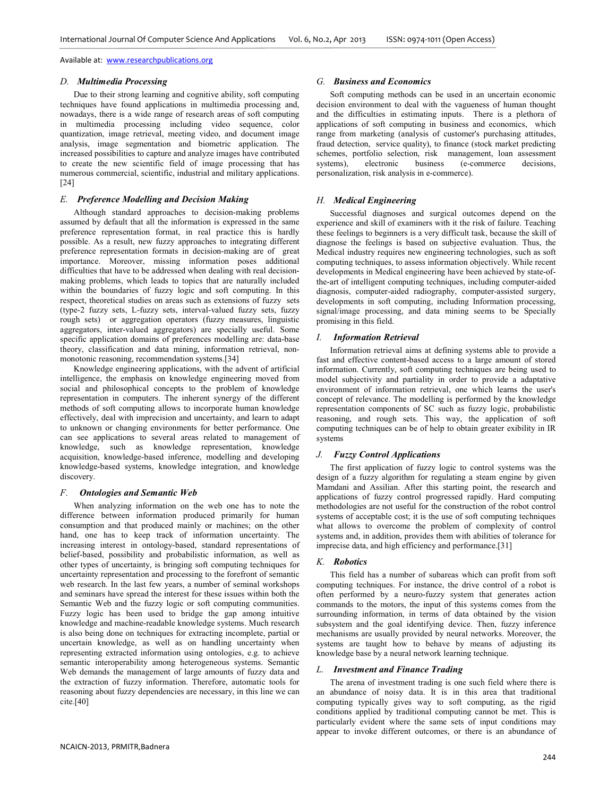#### *D. Multimedia Processing*

Due to their strong learning and cognitive ability, soft computing techniques have found applications in multimedia processing and, nowadays, there is a wide range of research areas of soft computing in multimedia processing including video sequence, color quantization, image retrieval, meeting video, and document image analysis, image segmentation and biometric application. The increased possibilities to capture and analyze images have contributed to create the new scientific field of image processing that has numerous commercial, scientific, industrial and military applications. [24]

# *E. Preference Modelling and Decision Making*

Although standard approaches to decision-making problems assumed by default that all the information is expressed in the same preference representation format, in real practice this is hardly possible. As a result, new fuzzy approaches to integrating different preference representation formats in decision-making are of great importance. Moreover, missing information poses additional difficulties that have to be addressed when dealing with real decisionmaking problems, which leads to topics that are naturally included within the boundaries of fuzzy logic and soft computing. In this respect, theoretical studies on areas such as extensions of fuzzy sets (type-2 fuzzy sets, L-fuzzy sets, interval-valued fuzzy sets, fuzzy rough sets) or aggregation operators (fuzzy measures, linguistic aggregators, inter-valued aggregators) are specially useful. Some specific application domains of preferences modelling are: data-base theory, classification and data mining, information retrieval, nonmonotonic reasoning, recommendation systems.[34]

Knowledge engineering applications, with the advent of artificial intelligence, the emphasis on knowledge engineering moved from social and philosophical concepts to the problem of knowledge representation in computers. The inherent synergy of the different methods of soft computing allows to incorporate human knowledge effectively, deal with imprecision and uncertainty, and learn to adapt to unknown or changing environments for better performance. One can see applications to several areas related to management of knowledge, such as knowledge representation, knowledge acquisition, knowledge-based inference, modelling and developing knowledge-based systems, knowledge integration, and knowledge discovery.

# *F. Ontologies and Semantic Web*

When analyzing information on the web one has to note the difference between information produced primarily for human consumption and that produced mainly or machines; on the other hand, one has to keep track of information uncertainty. The increasing interest in ontology-based, standard representations of belief-based, possibility and probabilistic information, as well as other types of uncertainty, is bringing soft computing techniques for uncertainty representation and processing to the forefront of semantic web research. In the last few years, a number of seminal workshops and seminars have spread the interest for these issues within both the Semantic Web and the fuzzy logic or soft computing communities. Fuzzy logic has been used to bridge the gap among intuitive knowledge and machine-readable knowledge systems. Much research is also being done on techniques for extracting incomplete, partial or uncertain knowledge, as well as on handling uncertainty when representing extracted information using ontologies, e.g. to achieve semantic interoperability among heterogeneous systems. Semantic Web demands the management of large amounts of fuzzy data and the extraction of fuzzy information. Therefore, automatic tools for reasoning about fuzzy dependencies are necessary, in this line we can cite.[40]

### *G. Business and Economics*

Soft computing methods can be used in an uncertain economic decision environment to deal with the vagueness of human thought and the difficulties in estimating inputs. There is a plethora of applications of soft computing in business and economics, which range from marketing (analysis of customer's purchasing attitudes, fraud detection, service quality), to finance (stock market predicting schemes, portfolio selection, risk management, loan assessment systems), electronic business (e-commerce decisions, personalization, risk analysis in e-commerce).

# *H. Medical Engineering*

Successful diagnoses and surgical outcomes depend on the experience and skill of examiners with it the risk of failure. Teaching these feelings to beginners is a very difficult task, because the skill of diagnose the feelings is based on subjective evaluation. Thus, the Medical industry requires new engineering technologies, such as soft computing techniques, to assess information objectively. While recent developments in Medical engineering have been achieved by state-ofthe-art of intelligent computing techniques, including computer-aided diagnosis, computer-aided radiography, computer-assisted surgery, developments in soft computing, including Information processing, signal/image processing, and data mining seems to be Specially promising in this field.

# *I. Information Retrieval*

Information retrieval aims at defining systems able to provide a fast and effective content-based access to a large amount of stored information. Currently, soft computing techniques are being used to model subjectivity and partiality in order to provide a adaptative environment of information retrieval, one which learns the user's concept of relevance. The modelling is performed by the knowledge representation components of SC such as fuzzy logic, probabilistic reasoning, and rough sets. This way, the application of soft computing techniques can be of help to obtain greater exibility in IR systems

#### *J. Fuzzy Control Applications*

The first application of fuzzy logic to control systems was the design of a fuzzy algorithm for regulating a steam engine by given Mamdani and Assilian. After this starting point, the research and applications of fuzzy control progressed rapidly. Hard computing methodologies are not useful for the construction of the robot control systems of acceptable cost; it is the use of soft computing techniques what allows to overcome the problem of complexity of control systems and, in addition, provides them with abilities of tolerance for imprecise data, and high efficiency and performance.[31]

# *K. Robotics*

This field has a number of subareas which can profit from soft computing techniques. For instance, the drive control of a robot is often performed by a neuro-fuzzy system that generates action commands to the motors, the input of this systems comes from the surrounding information, in terms of data obtained by the vision subsystem and the goal identifying device. Then, fuzzy inference mechanisms are usually provided by neural networks. Moreover, the systems are taught how to behave by means of adjusting its knowledge base by a neural network learning technique.

### *L. Investment and Finance Trading*

The arena of investment trading is one such field where there is an abundance of noisy data. It is in this area that traditional computing typically gives way to soft computing, as the rigid conditions applied by traditional computing cannot be met. This is particularly evident where the same sets of input conditions may appear to invoke different outcomes, or there is an abundance of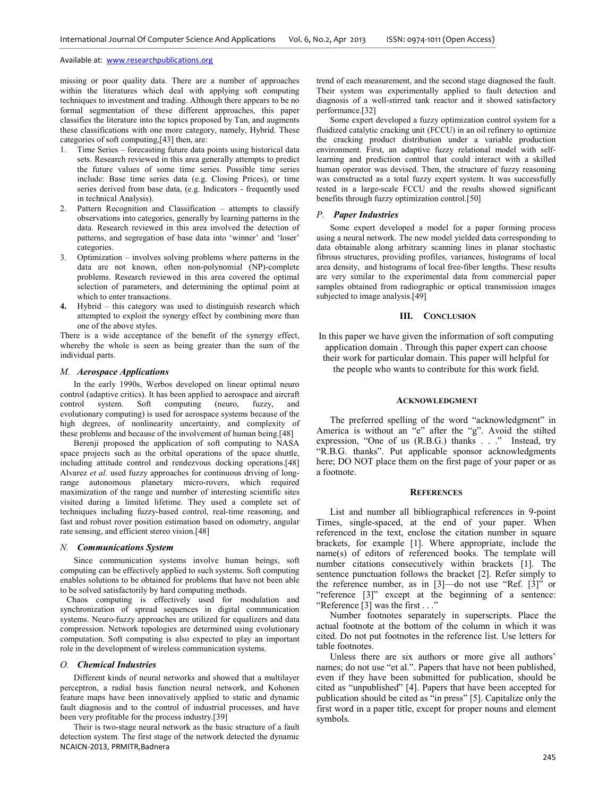missing or poor quality data. There are a number of approaches within the literatures which deal with applying soft computing techniques to investment and trading. Although there appears to be no formal segmentation of these different approaches, this paper classifies the literature into the topics proposed by Tan, and augments these classifications with one more category, namely, Hybrid. These categories of soft computing,[43] then, are:

- 1. Time Series forecasting future data points using historical data sets. Research reviewed in this area generally attempts to predict the future values of some time series. Possible time series include: Base time series data (e.g. Closing Prices), or time series derived from base data, (e.g. Indicators - frequently used in technical Analysis).
- 2. Pattern Recognition and Classification attempts to classify observations into categories, generally by learning patterns in the data. Research reviewed in this area involved the detection of patterns, and segregation of base data into 'winner' and 'loser' categories.
- 3. Optimization involves solving problems where patterns in the data are not known, often non-polynomial (NP)-complete problems. Research reviewed in this area covered the optimal selection of parameters, and determining the optimal point at which to enter transactions.
- **4.** Hybrid this category was used to distinguish research which attempted to exploit the synergy effect by combining more than one of the above styles.

There is a wide acceptance of the benefit of the synergy effect, whereby the whole is seen as being greater than the sum of the individual parts.

#### *M. Aerospace Applications*

In the early 1990s, Werbos developed on linear optimal neuro control (adaptive critics). It has been applied to aerospace and aircraft control system. Soft computing (neuro, fuzzy, and evolutionary computing) is used for aerospace systems because of the high degrees, of nonlinearity uncertainty, and complexity of these problems and because of the involvement of human being.[48]

Berenji proposed the application of soft computing to NASA space projects such as the orbital operations of the space shuttle, including attitude control and rendezvous docking operations.[48] Alvarez *et al.* used fuzzy approaches for continuous driving of longrange autonomous planetary micro-rovers, which required maximization of the range and number of interesting scientific sites visited during a limited lifetime. They used a complete set of techniques including fuzzy-based control, real-time reasoning, and fast and robust rover position estimation based on odometry, angular rate sensing, and efficient stereo vision.[48]

#### *N. Communications System*

Since communication systems involve human beings, soft computing can be effectively applied to such systems. Soft computing enables solutions to be obtained for problems that have not been able to be solved satisfactorily by hard computing methods.

 Chaos computing is effectively used for modulation and synchronization of spread sequences in digital communication systems. Neuro-fuzzy approaches are utilized for equalizers and data compression. Network topologies are determined using evolutionary computation. Soft computing is also expected to play an important role in the development of wireless communication systems.

#### *O. Chemical Industries*

Different kinds of neural networks and showed that a multilayer perceptron, a radial basis function neural network, and Kohonen feature maps have been innovatively applied to static and dynamic fault diagnosis and to the control of industrial processes, and have been very profitable for the process industry.[39]

NCAICN-2013, PRMITR,Badnera Their is two-stage neural network as the basic structure of a fault detection system. The first stage of the network detected the dynamic

trend of each measurement, and the second stage diagnosed the fault. Their system was experimentally applied to fault detection and diagnosis of a well-stirred tank reactor and it showed satisfactory performance.[32]

Some expert developed a fuzzy optimization control system for a fluidized catalytic cracking unit (FCCU) in an oil refinery to optimize the cracking product distribution under a variable production environment. First, an adaptive fuzzy relational model with selflearning and prediction control that could interact with a skilled human operator was devised. Then, the structure of fuzzy reasoning was constructed as a total fuzzy expert system. It was successfully tested in a large-scale FCCU and the results showed significant benefits through fuzzy optimization control.[50]

#### *P. Paper Industries*

Some expert developed a model for a paper forming process using a neural network. The new model yielded data corresponding to data obtainable along arbitrary scanning lines in planar stochastic fibrous structures, providing profiles, variances, histograms of local area density, and histograms of local free-fiber lengths. These results are very similar to the experimental data from commercial paper samples obtained from radiographic or optical transmission images subjected to image analysis.[49]

# **III. CONCLUSION**

In this paper we have given the information of soft computing application domain . Through this paper expert can choose their work for particular domain. This paper will helpful for the people who wants to contribute for this work field.

**ACKNOWLEDGMENT**

The preferred spelling of the word "acknowledgment" in America is without an "e" after the "g". Avoid the stilted expression, "One of us (R.B.G.) thanks . . ." Instead, try "R.B.G. thanks". Put applicable sponsor acknowledgments here; DO NOT place them on the first page of your paper or as a footnote.

#### **REFERENCES**

List and number all bibliographical references in 9-point Times, single-spaced, at the end of your paper. When referenced in the text, enclose the citation number in square brackets, for example [1]. Where appropriate, include the name(s) of editors of referenced books. The template will number citations consecutively within brackets [1]. The sentence punctuation follows the bracket [2]. Refer simply to the reference number, as in [3]—do not use "Ref. [3]" or "reference [3]" except at the beginning of a sentence: "Reference [3] was the first . . ."

Number footnotes separately in superscripts. Place the actual footnote at the bottom of the column in which it was cited. Do not put footnotes in the reference list. Use letters for table footnotes.

Unless there are six authors or more give all authors' names; do not use "et al.". Papers that have not been published, even if they have been submitted for publication, should be cited as "unpublished" [4]. Papers that have been accepted for publication should be cited as "in press" [5]. Capitalize only the first word in a paper title, except for proper nouns and element symbols.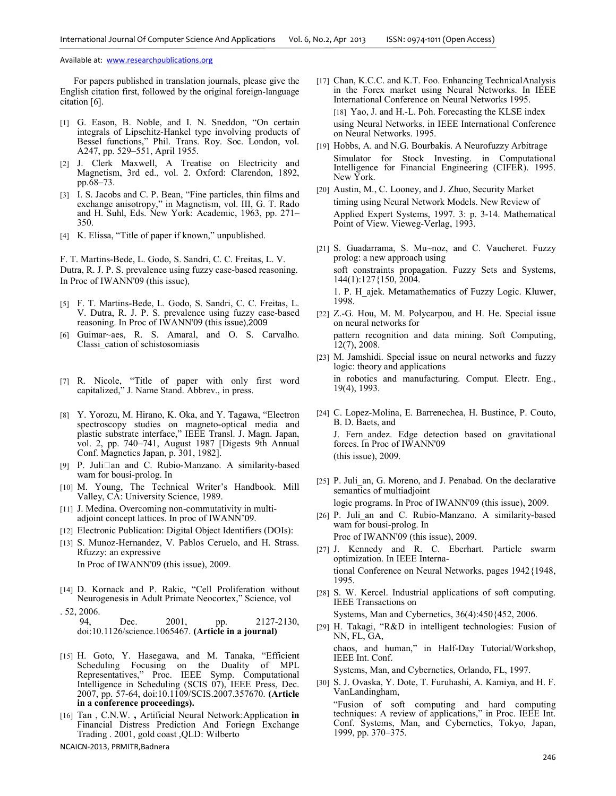For papers published in translation journals, please give the English citation first, followed by the original foreign-language citation [6].

- [1] G. Eason, B. Noble, and I. N. Sneddon, "On certain integrals of Lipschitz-Hankel type involving products of Bessel functions," Phil. Trans. Roy. Soc. London, vol. A247, pp. 529–551, April 1955.
- [2] J. Clerk Maxwell, A Treatise on Electricity and Magnetism, 3rd ed., vol. 2. Oxford: Clarendon, 1892, pp.68–73.
- [3] I. S. Jacobs and C. P. Bean, "Fine particles, thin films and exchange anisotropy," in Magnetism, vol. III, G. T. Rado and H. Suhl, Eds. New York: Academic, 1963, pp. 271– 350.
- [4] K. Elissa, "Title of paper if known," unpublished.

F. T. Martins-Bede, L. Godo, S. Sandri, C. C. Freitas, L. V. Dutra, R. J. P. S. prevalence using fuzzy case-based reasoning. In Proc of IWANN'09 (this issue),

- [5] F. T. Martins-Bede, L. Godo, S. Sandri, C. C. Freitas, L. V. Dutra, R. J. P. S. prevalence using fuzzy case-based reasoning. In Proc of IWANN'09 (this issue),2009
- [6] Guimar~aes, R. S. Amaral, and O. S. Carvalho. Classi\_cation of schistosomiasis
- [7] R. Nicole, "Title of paper with only first word capitalized," J. Name Stand. Abbrev., in press.
- [8] Y. Yorozu, M. Hirano, K. Oka, and Y. Tagawa, "Electron spectroscopy studies on magneto-optical media and plastic substrate interface," IEEE Transl. J. Magn. Japan, vol. 2, pp. 740–741, August 1987 [Digests 9th Annual Conf. Magnetics Japan, p. 301, 1982].
- [9] P. JuliSan and C. Rubio-Manzano. A similarity-based wam for bousi-prolog. In
- [10] M. Young, The Technical Writer's Handbook. Mill Valley, CA: University Science, 1989.
- [11] J. Medina. Overcoming non-commutativity in multiadjoint concept lattices. In proc of IWANN'09.
- [12] Electronic Publication: Digital Object Identifiers (DOIs):
- [13] S. Munoz-Hernandez, V. Pablos Ceruelo, and H. Strass. Rfuzzy: an expressive In Proc of IWANN'09 (this issue), 2009.
- [14] D. Kornack and P. Rakic, "Cell Proliferation without Neurogenesis in Adult Primate Neocortex," Science, vol
- . 52, 2006. Dec. 2001, pp. 2127-2130, doi:10.1126/science.1065467. **(Article in a journal)**
- [15] H. Goto, Y. Hasegawa, and M. Tanaka, "Efficient Scheduling Focusing on the Duality of MPL Representatives," Proc. IEEE Symp. Computational Intelligence in Scheduling (SCIS 07), IEEE Press, Dec. 2007, pp. 57-64, doi:10.1109/SCIS.2007.357670. **(Article in a conference proceedings).**
- [16] Tan , C.N.W. **,** Artificial Neural Network:Application **in**  Financial Distress Prediction And Foriegn Exchange Trading . 2001, gold coast ,QLD: Wilberto

NCAICN-2013, PRMITR,Badnera

- [17] Chan, K.C.C. and K.T. Foo. Enhancing TechnicalAnalysis in the Forex market using Neural Networks. In IEEE International Conference on Neural Networks 1995. [18] Yao, J. and H.-L. Poh. Forecasting the KLSE index using Neural Networks. in IEEE International Conference on Neural Networks. 1995.
- [19] Hobbs, A. and N.G. Bourbakis. A Neurofuzzy Arbitrage Simulator for Stock Investing. in Computational Intelligence for Financial Engineering (CIFER). 1995. New York.
- [20] Austin, M., C. Looney, and J. Zhuo, Security Market timing using Neural Network Models. New Review of Applied Expert Systems, 1997. 3: p. 3-14. Mathematical Point of View. Vieweg-Verlag, 1993.
- [21] S. Guadarrama, S. Mu~noz, and C. Vaucheret. Fuzzy prolog: a new approach using soft constraints propagation. Fuzzy Sets and Systems, 144(1):127{150, 2004. 1. P. H\_ajek. Metamathematics of Fuzzy Logic. Kluwer, 1998.
- [22] Z.-G. Hou, M. M. Polycarpou, and H. He. Special issue on neural networks for pattern recognition and data mining. Soft Computing, 12(7), 2008.
- [23] M. Jamshidi. Special issue on neural networks and fuzzy logic: theory and applications in robotics and manufacturing. Comput. Electr. Eng., 19(4), 1993.
- [24] C. Lopez-Molina, E. Barrenechea, H. Bustince, P. Couto, B. D. Baets, and J. Fern\_andez. Edge detection based on gravitational forces. In Proc of IWANN'09 (this issue), 2009.
- [25] P. Juli an, G. Moreno, and J. Penabad. On the declarative semantics of multiadjoint logic programs. In Proc of IWANN'09 (this issue), 2009.
- [26] P. Juli an and C. Rubio-Manzano. A similarity-based wam for bousi-prolog. In Proc of IWANN'09 (this issue), 2009.
- [27] J. Kennedy and R. C. Eberhart. Particle swarm optimization. In IEEE International Conference on Neural Networks, pages 1942{1948, 1995.
- [28] S. W. Kercel. Industrial applications of soft computing. IEEE Transactions on

Systems, Man and Cybernetics, 36(4):450{452, 2006.

[29] H. Takagi, "R&D in intelligent technologies: Fusion of NN, FL, GA,

chaos, and human," in Half-Day Tutorial/Workshop, IEEE Int. Conf.

Systems, Man, and Cybernetics, Orlando, FL, 1997.

[30] S. J. Ovaska, Y. Dote, T. Furuhashi, A. Kamiya, and H. F. VanLandingham,

"Fusion of soft computing and hard computing techniques: A review of applications," in Proc. IEEE Int. Conf. Systems, Man, and Cybernetics, Tokyo, Japan, 1999, pp. 370–375.